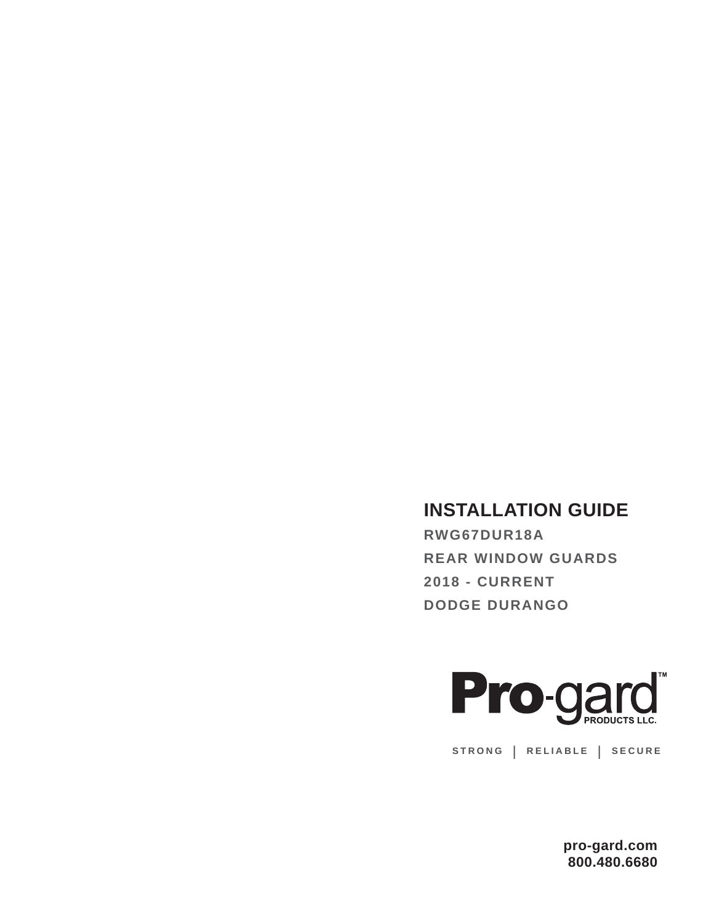# **INSTALLATION GUIDE**

**RWG67DUR18A REAR WINDOW GUARDS 2018 - CURRENT DODGE DURANGO**



**STRONG | RELIABLE | SECURE**

**pro-gard.com 800.480.6680**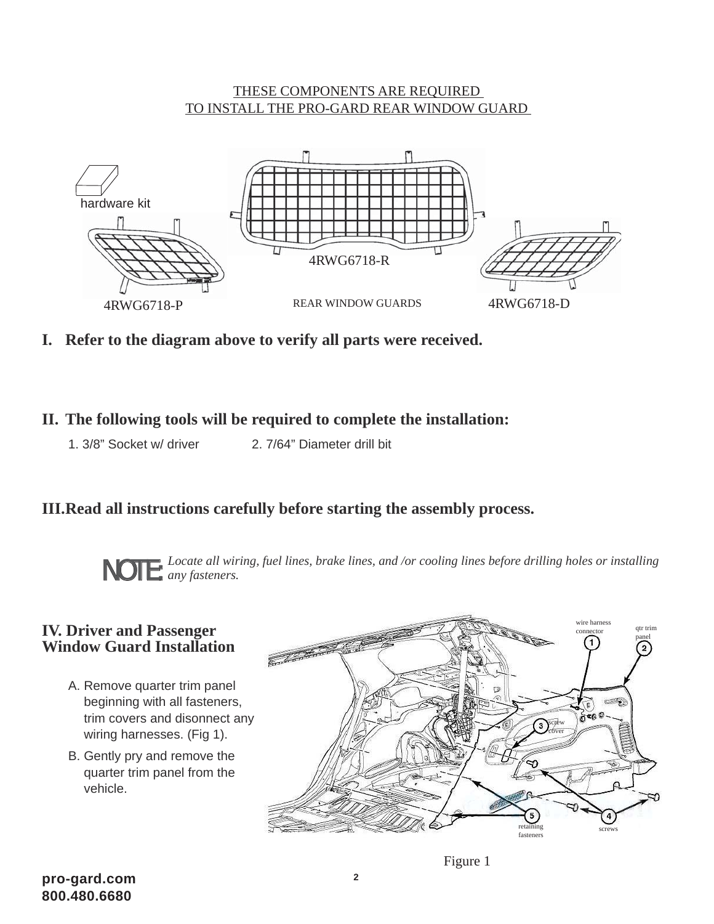#### THESE COMPONENTS ARE REQUIRED TO INSTALL THE PRO-GARD REAR WINDOW GUARD



**I. Refer to the diagram above to verify all parts were received.**

### **II. The following tools will be required to complete the installation:**

1. 3/8" Socket w/ driver 2. 7/64" Diameter drill bit

## **III. Read all instructions carefully before starting the assembly process.**

*Locate all wiring, fuel lines, brake lines, and /or cooling lines before drilling holes or installing*  **NOTE:** *Locate all wiri any fasteners.* 

### **IV. Driver and Passenger Window Guard Installation**

- A. Remove quarter trim panel beginning with all fasteners, trim covers and disonnect any wiring harnesses. (Fig 1).
- B. Gently pry and remove the quarter trim panel from the vehicle.

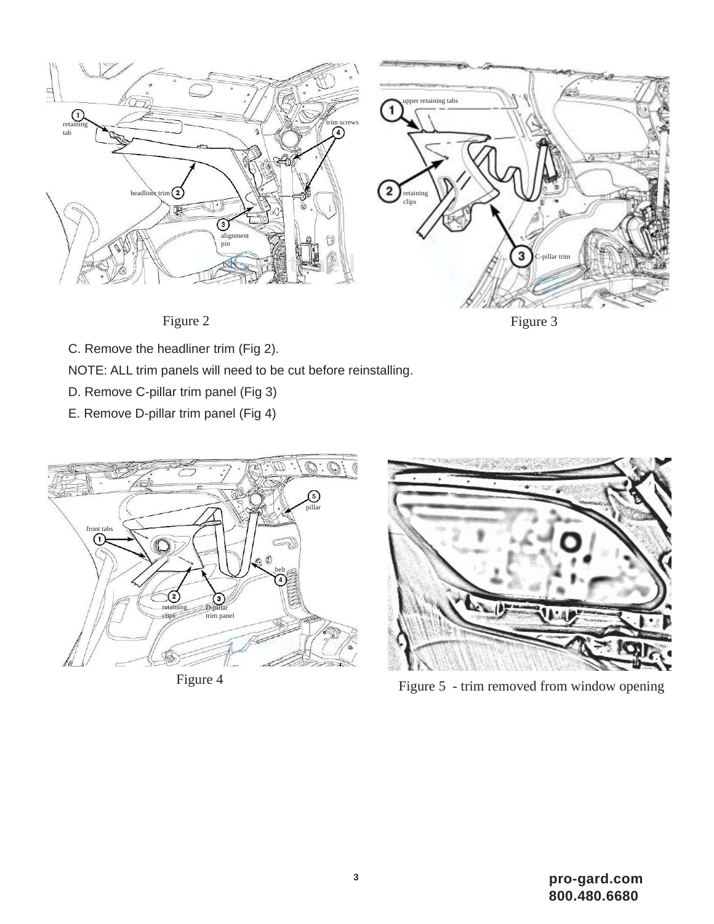

Figure 3



C. Remove the headliner trim (Fig 2).

NOTE: ALL trim panels will need to be cut before reinstalling.

- D. Remove C-pillar trim panel (Fig 3)
- E. Remove D-pillar trim panel (Fig 4)





Figure 4 Figure 5 - trim removed from window opening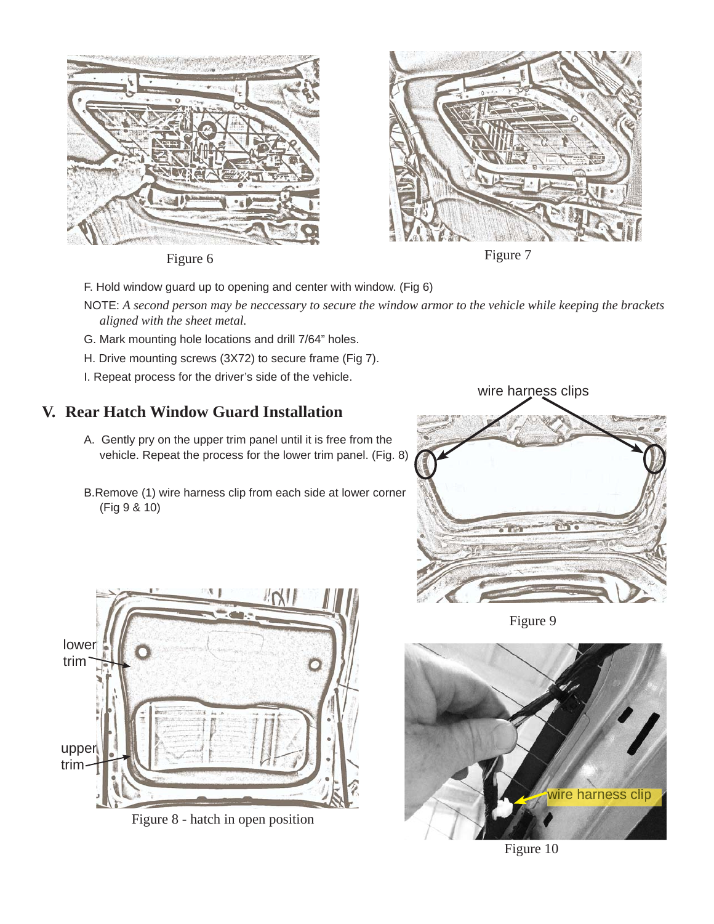

Figure 6 Figure 7



- F. Hold window guard up to opening and center with window. (Fig 6)
- NOTE: *A second person may be neccessary to secure the window armor to the vehicle while keeping the brackets aligned with the sheet metal.*
- G. Mark mounting hole locations and drill 7/64" holes.
- H. Drive mounting screws (3X72) to secure frame (Fig 7).
- I. Repeat process for the driver's side of the vehicle.

### **V. Rear Hatch Window Guard Installation**

- A. Gently pry on the upper trim panel until it is free from the vehicle. Repeat the process for the lower trim panel. (Fig. 8)
- B.Remove (1) wire harness clip from each side at lower corner (Fig 9 & 10)





Figure 8 - hatch in open position

Figure 9



Figure 10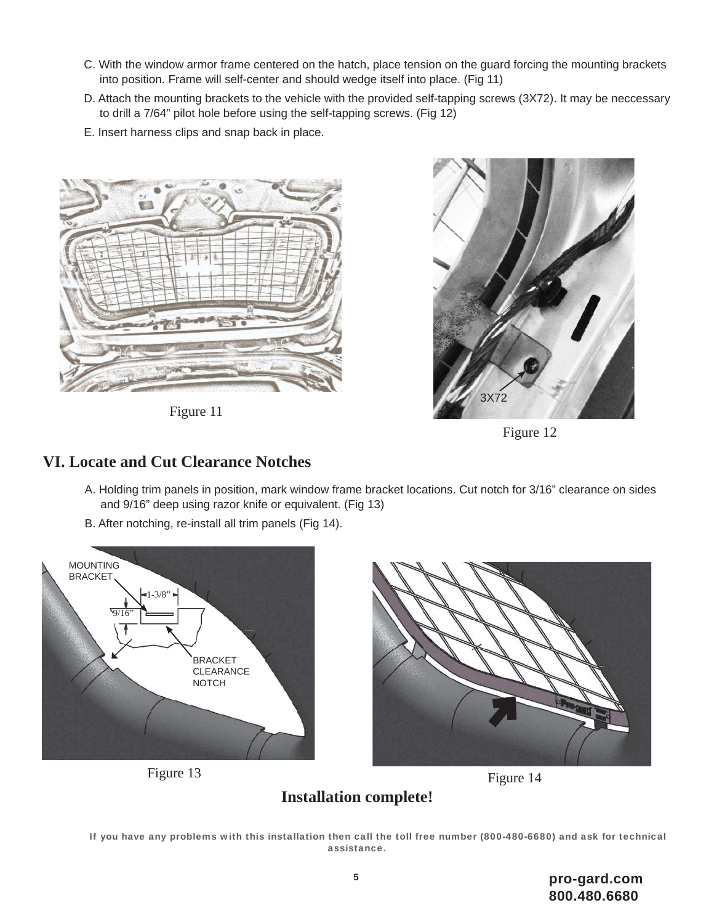- C. With the window armor frame centered on the hatch, place tension on the guard forcing the mounting brackets into position. Frame will self-center and should wedge itself into place. (Fig 11)
- D. Attach the mounting brackets to the vehicle with the provided self-tapping screws (3X72). It may be neccessary to drill a 7/64" pilot hole before using the self-tapping screws. (Fig 12)
- E. Insert harness clips and snap back in place.



Figure 11



Figure 12

### **VI. Locate and Cut Clearance Notches**

- A. Holding trim panels in position, mark window frame bracket locations. Cut notch for 3/16" clearance on sides and 9/16" deep using razor knife or equivalent. (Fig 13)
- B. After notching, re-install all trim panels (Fig 14).



Figure 13





#### If you have any problems with this installation then call the toll free number (800-480-6680) and ask for technical assistance.

**Installation complete!**